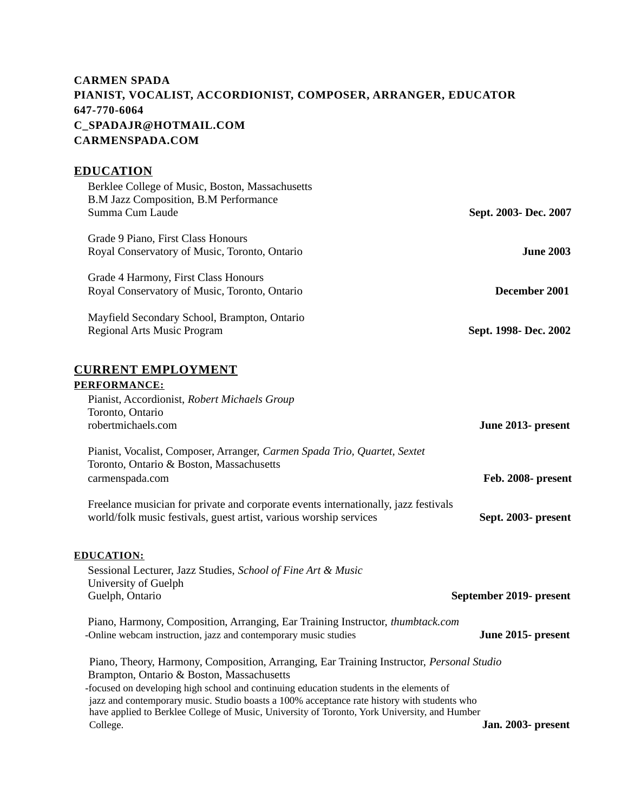# **CARMEN SPADA PIANIST, VOCALIST, ACCORDIONIST, COMPOSER, ARRANGER, EDUCATOR 647-770-6064 C\_SPADAJR@HOTMAIL.COM CARMENSPADA.COM**

### **EDUCATION**

| Sept. 2003- Dec. 2007 | Berklee College of Music, Boston, Massachusetts<br>B.M Jazz Composition, B.M Performance<br>Summa Cum Laude |
|-----------------------|-------------------------------------------------------------------------------------------------------------|
| June 2003             | Grade 9 Piano, First Class Honours<br>Royal Conservatory of Music, Toronto, Ontario                         |
| December 2001         | Grade 4 Harmony, First Class Honours<br>Royal Conservatory of Music, Toronto, Ontario                       |
| Sept. 1998- Dec. 2002 | Mayfield Secondary School, Brampton, Ontario<br>Regional Arts Music Program                                 |

# **CURRENT EMPLOYMENT**

#### **PERFORMANCE:**

| June 2013- present                                                                                                                                                                                                                                                                                                                                                                                       |
|----------------------------------------------------------------------------------------------------------------------------------------------------------------------------------------------------------------------------------------------------------------------------------------------------------------------------------------------------------------------------------------------------------|
| Feb. 2008- present                                                                                                                                                                                                                                                                                                                                                                                       |
| Freelance musician for private and corporate events internationally, jazz festivals<br>Sept. 2003- present                                                                                                                                                                                                                                                                                               |
| September 2019- present                                                                                                                                                                                                                                                                                                                                                                                  |
| Piano, Harmony, Composition, Arranging, Ear Training Instructor, thumbtack.com<br>June 2015- present                                                                                                                                                                                                                                                                                                     |
| Piano, Theory, Harmony, Composition, Arranging, Ear Training Instructor, Personal Studio<br>-focused on developing high school and continuing education students in the elements of<br>jazz and contemporary music. Studio boasts a 100% acceptance rate history with students who<br>have applied to Berklee College of Music, University of Toronto, York University, and Humber<br>Jan. 2003- present |
|                                                                                                                                                                                                                                                                                                                                                                                                          |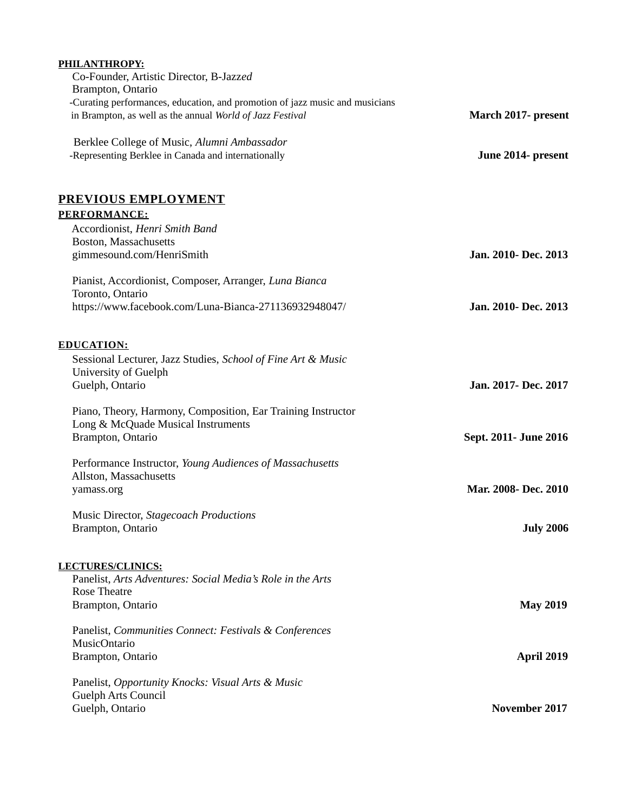| PHILANTHROPY:<br>Co-Founder, Artistic Director, B-Jazzed                                           |                       |
|----------------------------------------------------------------------------------------------------|-----------------------|
| Brampton, Ontario                                                                                  |                       |
| -Curating performances, education, and promotion of jazz music and musicians                       |                       |
| in Brampton, as well as the annual World of Jazz Festival                                          | March 2017- present   |
|                                                                                                    |                       |
| Berklee College of Music, Alumni Ambassador<br>-Representing Berklee in Canada and internationally | June 2014- present    |
|                                                                                                    |                       |
|                                                                                                    |                       |
| PREVIOUS EMPLOYMENT                                                                                |                       |
| <b>PERFORMANCE:</b>                                                                                |                       |
| Accordionist, Henri Smith Band                                                                     |                       |
| Boston, Massachusetts                                                                              |                       |
| gimmesound.com/HenriSmith                                                                          | Jan. 2010- Dec. 2013  |
| Pianist, Accordionist, Composer, Arranger, Luna Bianca                                             |                       |
| Toronto, Ontario                                                                                   |                       |
| https://www.facebook.com/Luna-Bianca-271136932948047/                                              | Jan. 2010- Dec. 2013  |
|                                                                                                    |                       |
|                                                                                                    |                       |
| <b>EDUCATION:</b>                                                                                  |                       |
| Sessional Lecturer, Jazz Studies, School of Fine Art & Music<br>University of Guelph               |                       |
| Guelph, Ontario                                                                                    | Jan. 2017- Dec. 2017  |
|                                                                                                    |                       |
| Piano, Theory, Harmony, Composition, Ear Training Instructor                                       |                       |
| Long & McQuade Musical Instruments                                                                 |                       |
| Brampton, Ontario                                                                                  | Sept. 2011- June 2016 |
|                                                                                                    |                       |
| Performance Instructor, Young Audiences of Massachusetts<br>Allston, Massachusetts                 |                       |
| yamass.org                                                                                         | Mar. 2008- Dec. 2010  |
|                                                                                                    |                       |
| Music Director, Stagecoach Productions                                                             |                       |
| Brampton, Ontario                                                                                  | <b>July 2006</b>      |
|                                                                                                    |                       |
| LECTURES/CLINICS:                                                                                  |                       |
| Panelist, Arts Adventures: Social Media's Role in the Arts                                         |                       |
| <b>Rose Theatre</b>                                                                                |                       |
| Brampton, Ontario                                                                                  | <b>May 2019</b>       |
| Panelist, Communities Connect: Festivals & Conferences                                             |                       |
| MusicOntario                                                                                       |                       |
| Brampton, Ontario                                                                                  | <b>April 2019</b>     |
|                                                                                                    |                       |
| Panelist, Opportunity Knocks: Visual Arts & Music                                                  |                       |
| Guelph Arts Council                                                                                |                       |
| Guelph, Ontario                                                                                    | November 2017         |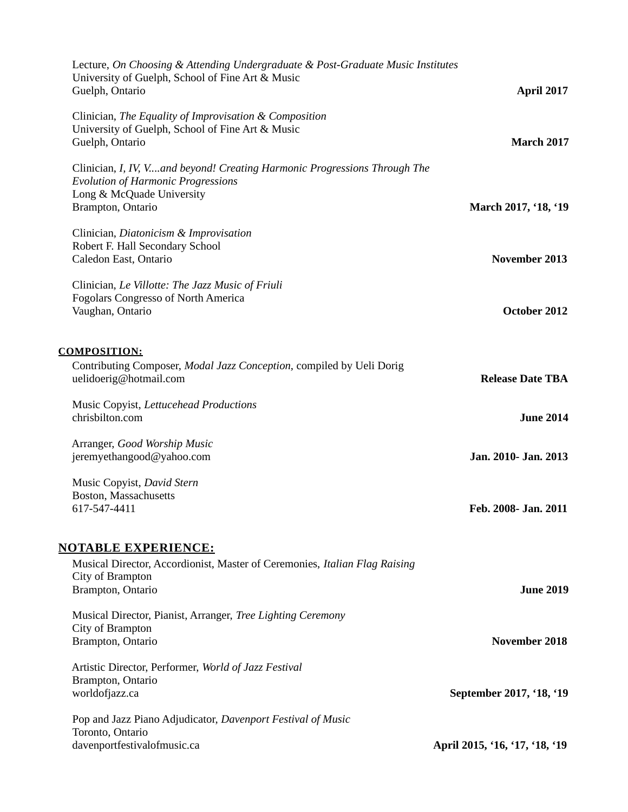| Lecture, On Choosing & Attending Undergraduate & Post-Graduate Music Institutes<br>University of Guelph, School of Fine Art & Music<br>Guelph, Ontario                   | <b>April 2017</b>                           |
|--------------------------------------------------------------------------------------------------------------------------------------------------------------------------|---------------------------------------------|
| Clinician, The Equality of Improvisation & Composition<br>University of Guelph, School of Fine Art & Music<br>Guelph, Ontario                                            | <b>March 2017</b>                           |
| Clinician, I, IV, Vand beyond! Creating Harmonic Progressions Through The<br><b>Evolution of Harmonic Progressions</b><br>Long & McQuade University<br>Brampton, Ontario | March 2017, '18, '19                        |
| Clinician, Diatonicism & Improvisation<br>Robert F. Hall Secondary School<br>Caledon East, Ontario                                                                       | <b>November 2013</b>                        |
| Clinician, Le Villotte: The Jazz Music of Friuli<br><b>Fogolars Congresso of North America</b><br>Vaughan, Ontario                                                       | October 2012                                |
| <b>COMPOSITION:</b><br>Contributing Composer, Modal Jazz Conception, compiled by Ueli Dorig                                                                              |                                             |
| uelidoerig@hotmail.com<br>Music Copyist, Lettucehead Productions<br>chrisbilton.com                                                                                      | <b>Release Date TBA</b><br><b>June 2014</b> |
| Arranger, Good Worship Music<br>jeremyethangood@yahoo.com                                                                                                                | Jan. 2010- Jan. 2013                        |
| Music Copyist, David Stern<br>Boston, Massachusetts<br>617-547-4411                                                                                                      | Feb. 2008- Jan. 2011                        |
| <b>NOTABLE EXPERIENCE:</b><br>Musical Director, Accordionist, Master of Ceremonies, Italian Flag Raising                                                                 |                                             |
| City of Brampton<br>Brampton, Ontario                                                                                                                                    | <b>June 2019</b>                            |
| Musical Director, Pianist, Arranger, Tree Lighting Ceremony<br>City of Brampton<br>Brampton, Ontario                                                                     | <b>November 2018</b>                        |
| Artistic Director, Performer, World of Jazz Festival<br>Brampton, Ontario<br>worldofjazz.ca                                                                              | September 2017, '18, '19                    |
| Pop and Jazz Piano Adjudicator, Davenport Festival of Music                                                                                                              |                                             |
| Toronto, Ontario<br>davenportfestivalofmusic.ca                                                                                                                          | April 2015, '16, '17, '18, '19              |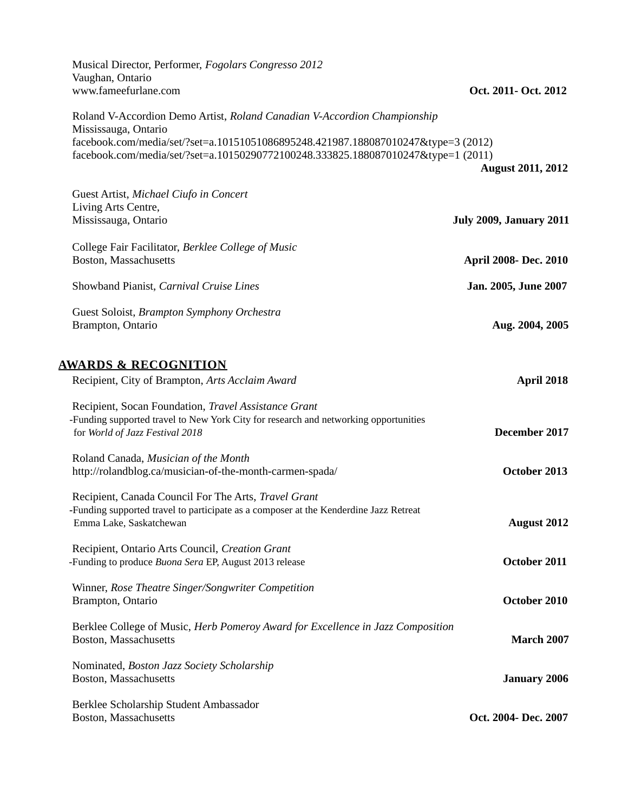| Oct. 2011- Oct. 2012           | Musical Director, Performer, Fogolars Congresso 2012<br>Vaughan, Ontario<br>www.fameefurlane.com                                                                                                                                                                           |
|--------------------------------|----------------------------------------------------------------------------------------------------------------------------------------------------------------------------------------------------------------------------------------------------------------------------|
|                                | Roland V-Accordion Demo Artist, Roland Canadian V-Accordion Championship<br>Mississauga, Ontario<br>facebook.com/media/set/?set=a.10151051086895248.421987.188087010247&type=3 (2012)<br>facebook.com/media/set/?set=a.10150290772100248.333825.188087010247&type=1 (2011) |
| <b>August 2011, 2012</b>       |                                                                                                                                                                                                                                                                            |
|                                | Guest Artist, Michael Ciufo in Concert<br>Living Arts Centre,                                                                                                                                                                                                              |
| <b>July 2009, January 2011</b> | Mississauga, Ontario                                                                                                                                                                                                                                                       |
| April 2008- Dec. 2010          | College Fair Facilitator, Berklee College of Music<br>Boston, Massachusetts                                                                                                                                                                                                |
| Jan. 2005, June 2007           | Showband Pianist, Carnival Cruise Lines                                                                                                                                                                                                                                    |
| Aug. 2004, 2005                | Guest Soloist, Brampton Symphony Orchestra<br>Brampton, Ontario                                                                                                                                                                                                            |
|                                | <u>AWARDS &amp; RECOGNITION</u>                                                                                                                                                                                                                                            |
| April 2018                     | Recipient, City of Brampton, Arts Acclaim Award                                                                                                                                                                                                                            |
| <b>December 2017</b>           | Recipient, Socan Foundation, Travel Assistance Grant<br>-Funding supported travel to New York City for research and networking opportunities<br>for World of Jazz Festival 2018                                                                                            |
| October 2013                   | Roland Canada, Musician of the Month<br>http://rolandblog.ca/musician-of-the-month-carmen-spada/                                                                                                                                                                           |
| <b>August 2012</b>             | Recipient, Canada Council For The Arts, Travel Grant<br>-Funding supported travel to participate as a composer at the Kenderdine Jazz Retreat<br>Emma Lake, Saskatchewan                                                                                                   |
| October 2011                   | Recipient, Ontario Arts Council, Creation Grant<br>-Funding to produce Buona Sera EP, August 2013 release                                                                                                                                                                  |
| October 2010                   | Winner, Rose Theatre Singer/Songwriter Competition<br>Brampton, Ontario                                                                                                                                                                                                    |
| <b>March 2007</b>              | Berklee College of Music, Herb Pomeroy Award for Excellence in Jazz Composition<br>Boston, Massachusetts                                                                                                                                                                   |
| <b>January 2006</b>            | Nominated, Boston Jazz Society Scholarship<br>Boston, Massachusetts                                                                                                                                                                                                        |
| Oct. 2004- Dec. 2007           | Berklee Scholarship Student Ambassador<br>Boston, Massachusetts                                                                                                                                                                                                            |